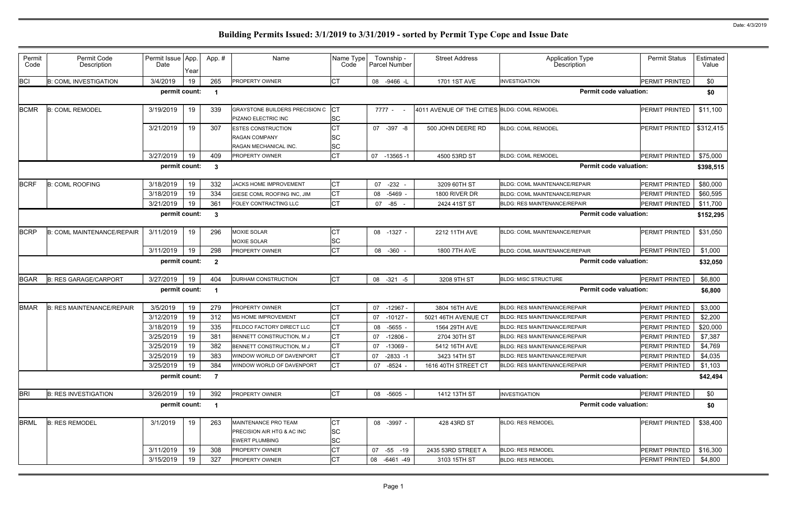| Permit<br>Code | Permit Code<br>Description        | Permit Issue App.<br>Date | Year | App.#                   | Name                                                                       | Name Type<br>Code         | Township -<br>Parcel Number | <b>Street Address</b>                        | <b>Application Type</b><br>Description | <b>Permit Status</b>  | Estimated<br>Value |
|----------------|-----------------------------------|---------------------------|------|-------------------------|----------------------------------------------------------------------------|---------------------------|-----------------------------|----------------------------------------------|----------------------------------------|-----------------------|--------------------|
| <b>BCI</b>     | <b>B: COML INVESTIGATION</b>      | 3/4/2019                  | 19   | 265                     | PROPERTY OWNER                                                             | IСТ                       | 08 -9466 -L                 | 1701 1ST AVE                                 | <b>INVESTIGATION</b>                   | PERMIT PRINTED        | \$0                |
|                |                                   | permit count:             |      |                         |                                                                            |                           |                             |                                              | <b>Permit code valuation:</b>          |                       | \$0                |
| <b>BCMR</b>    | <b>B: COML REMODEL</b>            | 3/19/2019                 | 19   | 339                     | GRAYSTONE BUILDERS PRECISION C<br>PIZANO ELECTRIC INC                      | $ _{\rm CT}$<br><b>SC</b> | 7777 -                      | 4011 AVENUE OF THE CITIES BLDG: COML REMODEL |                                        | PERMIT PRINTED        | \$11,100           |
|                |                                   | 3/21/2019                 | 19   | 307                     | <b>ESTES CONSTRUCTION</b><br><b>RAGAN COMPANY</b><br>RAGAN MECHANICAL INC. | lст<br>lSC<br><b>SC</b>   | 07 -397 -8                  | 500 JOHN DEERE RD                            | <b>BLDG: COML REMODEL</b>              | PERMIT PRINTED        | \$312,415          |
|                |                                   | 3/27/2019                 | 19   | 409                     | PROPERTY OWNER                                                             | <b>CT</b>                 | 07<br>$-13565 - 1$          | 4500 53RD ST                                 | <b>BLDG: COML REMODEL</b>              | PERMIT PRINTED        | \$75,000           |
|                |                                   | permit count:             |      | -3                      |                                                                            |                           |                             |                                              | <b>Permit code valuation:</b>          |                       | \$398,515          |
| <b>BCRF</b>    | <b>B: COML ROOFING</b>            | 3/18/2019                 | 19   | 332                     | <b>JACKS HOME IMPROVEMENT</b>                                              | IСТ                       | $-232$<br>07                | 3209 60TH ST                                 | <b>BLDG: COML MAINTENANCE/REPAIR</b>   | <b>PERMIT PRINTED</b> | \$80,000           |
|                |                                   | 3/18/2019                 | 19   | 334                     | GIESE COML ROOFING INC, JIM                                                | <b>CT</b>                 | 08 -5469                    | 1800 RIVER DR                                | <b>BLDG: COML MAINTENANCE/REPAIR</b>   | PERMIT PRINTED        | \$60,595           |
|                |                                   | 3/21/2019                 | 19   | 361                     | FOLEY CONTRACTING LLC                                                      | <b>ICT</b>                | -85<br>07                   | 2424 41ST ST                                 | <b>BLDG: RES MAINTENANCE/REPAIR</b>    | <b>PERMIT PRINTED</b> | \$11,700           |
|                |                                   | permit count:             |      | $\mathbf{3}$            |                                                                            |                           |                             |                                              | <b>Permit code valuation:</b>          |                       | \$152,295          |
| <b>BCRP</b>    | <b>B: COML MAINTENANCE/REPAIR</b> | 3/11/2019                 | 19   | 296                     | <b>MOXIE SOLAR</b><br><b>MOXIE SOLAR</b>                                   | <b>CT</b><br>ΙSC          | 08 -1327 -                  | 2212 11TH AVE                                | <b>BLDG: COML MAINTENANCE/REPAIR</b>   | <b>PERMIT PRINTED</b> | \$31,050           |
|                |                                   | 3/11/2019                 | 19   | 298                     | PROPERTY OWNER                                                             | Iст                       | 08 -360                     | 1800 7TH AVE                                 | <b>BLDG: COML MAINTENANCE/REPAIR</b>   | PERMIT PRINTED        | \$1,000            |
|                |                                   | permit count:             |      | $\overline{2}$          |                                                                            |                           |                             |                                              | <b>Permit code valuation:</b>          |                       | \$32,050           |
| <b>BGAR</b>    | <b>B: RES GARAGE/CARPORT</b>      | 3/27/2019                 | 19   | 404                     | DURHAM CONSTRUCTION                                                        | <b>CT</b>                 | 08 -321 -5                  | 3208 9TH ST                                  | <b>BLDG: MISC STRUCTURE</b>            | PERMIT PRINTED        | \$6,800            |
|                |                                   | permit count:             |      |                         |                                                                            |                           |                             |                                              | <b>Permit code valuation:</b>          |                       | \$6,800            |
| <b>BMAR</b>    | <b>B: RES MAINTENANCE/REPAIR</b>  | 3/5/2019                  | 19   | 279                     | PROPERTY OWNER                                                             | <b>CT</b>                 | 07<br>$-12967 -$            | 3804 16TH AVE                                | <b>BLDG: RES MAINTENANCE/REPAIR</b>    | <b>PERMIT PRINTED</b> | \$3,000            |
|                |                                   | 3/12/2019                 | 19   | 312                     | MS HOME IMPROVEMENT                                                        | СT                        | 07<br>$-10127 -$            | 5021 46TH AVENUE CT                          | <b>BLDG: RES MAINTENANCE/REPAIR</b>    | PERMIT PRINTED        | \$2,200            |
|                |                                   | 3/18/2019                 | 19   | 335                     | FELDCO FACTORY DIRECT LLC                                                  | СT                        | -5655<br>08                 | 1564 29TH AVE                                | <b>BLDG: RES MAINTENANCE/REPAIR</b>    | <b>PERMIT PRINTED</b> | \$20,000           |
|                |                                   | 3/25/2019                 | 19   | 381                     | BENNETT CONSTRUCTION, MJ                                                   | lст                       | 07<br>-12806 -              | 2704 30TH ST                                 | <b>BLDG: RES MAINTENANCE/REPAIR</b>    | PERMIT PRINTED        | \$7,387            |
|                |                                   | 3/25/2019                 | 19   | 382                     | BENNETT CONSTRUCTION, MJ                                                   | <b>CT</b>                 | 07<br>$-13069$              | 5412 16TH AVE                                | <b>BLDG: RES MAINTENANCE/REPAIR</b>    | PERMIT PRINTED        | \$4,769            |
|                |                                   | 3/25/2019                 | 19   | 383                     | WINDOW WORLD OF DAVENPORT                                                  | IСТ                       | 07<br>$-2833 - 1$           | 3423 14TH ST                                 | <b>BLDG: RES MAINTENANCE/REPAIR</b>    | PERMIT PRINTED        | \$4,035            |
|                |                                   | 3/25/2019                 | 19   | 384                     | WINDOW WORLD OF DAVENPORT                                                  | <b>CT</b>                 | 07 -8524 -                  | 1616 40TH STREET CT                          | BLDG: RES MAINTENANCE/REPAIR           | <b>PERMIT PRINTED</b> | \$1,103            |
|                |                                   | permit count:             |      | $\overline{7}$          |                                                                            |                           |                             |                                              | <b>Permit code valuation:</b>          |                       | \$42,494           |
| <b>BRI</b>     | <b>B: RES INVESTIGATION</b>       | 3/26/2019                 | 19   | 392                     | PROPERTY OWNER                                                             | <b>CT</b>                 | 08 -5605 -                  | 1412 13TH ST                                 | <b>INVESTIGATION</b>                   | PERMIT PRINTED        | \$0                |
|                |                                   | permit count:             |      | $\overline{\mathbf{1}}$ |                                                                            |                           |                             |                                              | <b>Permit code valuation:</b>          |                       | \$0                |
| <b>BRML</b>    | <b>B: RES REMODEL</b>             | 3/1/2019                  | 19   | 263                     | MAINTENANCE PRO TEAM<br>PRECISION AIR HTG & AC INC                         | IСТ<br><b>SC</b>          | 08 -3997 -                  | 428 43RD ST                                  | <b>BLDG: RES REMODEL</b>               | PERMIT PRINTED        | \$38,400           |
|                |                                   |                           |      |                         | <b>EWERT PLUMBING</b>                                                      | <b>SC</b>                 |                             |                                              |                                        |                       |                    |
|                |                                   | 3/11/2019                 | 19   | 308                     | PROPERTY OWNER                                                             | СT                        | 07 -55 -19                  | 2435 53RD STREET A                           | <b>BLDG: RES REMODEL</b>               | PERMIT PRINTED        | \$16,300           |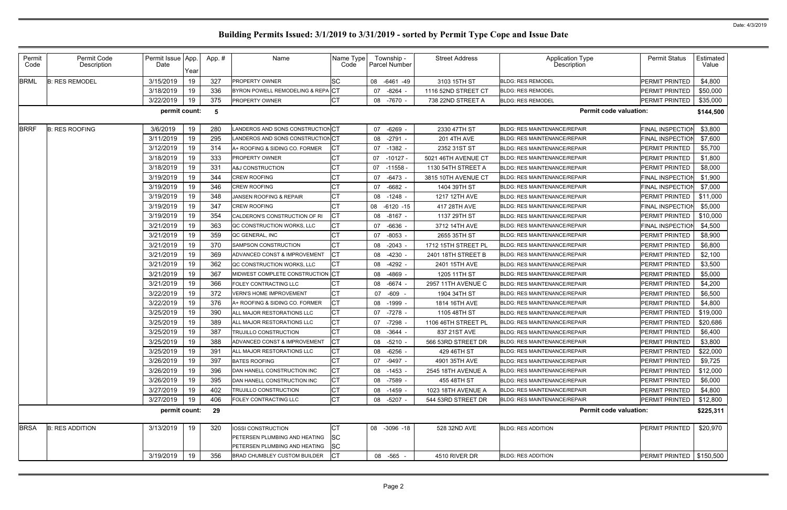| Permit<br>Code | Permit Code<br>Description | Permit Issue App.<br>Date | Year | App.# | Name                              | Name Type<br>Code | Township -<br>Parcel Number | <b>Street Address</b> | <b>Application Type</b><br>Description | <b>Permit Status</b>       | Estimated<br>Value |
|----------------|----------------------------|---------------------------|------|-------|-----------------------------------|-------------------|-----------------------------|-----------------------|----------------------------------------|----------------------------|--------------------|
| <b>BRML</b>    | <b>B: RES REMODEL</b>      | 3/15/2019                 | 19   | 327   | <b>PROPERTY OWNER</b>             | lsc               | 08<br>$-6461 - 49$          | 3103 15TH ST          | <b>BLDG: RES REMODEL</b>               | PERMIT PRINTED             | \$4,800            |
|                |                            | 3/18/2019                 | 19   | 336   | BYRON POWELL REMODELING & REPACT  |                   | -8264<br>07                 | 1116 52ND STREET CT   | <b>BLDG: RES REMODEL</b>               | PERMIT PRINTED             | \$50,000           |
|                |                            | 3/22/2019                 | 19   | 375   | PROPERTY OWNER                    | CT                | 08 -7670 -                  | 738 22ND STREET A     | <b>BLDG: RES REMODEL</b>               | <b>PERMIT PRINTED</b>      | \$35,000           |
|                |                            | permit count:             |      | 5     |                                   |                   |                             |                       | <b>Permit code valuation:</b>          |                            | \$144,500          |
| <b>BRRF</b>    | <b>B: RES ROOFING</b>      | 3/6/2019                  | 19   | 280   | LANDEROS AND SONS CONSTRUCTION CT |                   | 07 -6269                    | 2330 47TH ST          | <b>BLDG: RES MAINTENANCE/REPAIR</b>    | <b>FINAL INSPECTION</b>    | \$3,800            |
|                |                            | 3/11/2019                 | 19   | 295   | LANDEROS AND SONS CONSTRUCTION CT |                   | -2791<br>08                 | <b>201 4TH AVE</b>    | <b>BLDG: RES MAINTENANCE/REPAIR</b>    | <b>FINAL INSPECTION</b>    | \$7,600            |
|                |                            | 3/12/2019                 | 19   | 314   | A+ ROOFING & SIDING CO. FORMER    |                   | 07 -1382 -                  | 2352 31ST ST          | <b>BLDG: RES MAINTENANCE/REPAIR</b>    | PERMIT PRINTED             | \$5,700            |
|                |                            | 3/18/2019                 | 19   | 333   | <b>PROPERTY OWNER</b>             | СT                | 07<br>$-10127 -$            | 5021 46TH AVENUE CT   | <b>BLDG: RES MAINTENANCE/REPAIR</b>    | PERMIT PRINTED             | \$1,800            |
|                |                            | 3/18/2019                 | 19   | 331   | A&J CONSTRUCTION                  |                   | 07<br>$-11558$              | 1130 54TH STREET A    | <b>BLDG: RES MAINTENANCE/REPAIR</b>    | PERMIT PRINTED             | \$8,000            |
|                |                            | 3/19/2019                 | 19   | 344   | <b>CREW ROOFING</b>               | СT                | -6473<br>07                 | 3815 10TH AVENUE CT   | <b>BLDG: RES MAINTENANCE/REPAIR</b>    | <b>FINAL INSPECTION</b>    | \$1,900            |
|                |                            | 3/19/2019                 | 19   | 346   | <b>CREW ROOFING</b>               |                   | 07 -6682 -                  | 1404 39TH ST          | <b>BLDG: RES MAINTENANCE/REPAIR</b>    | <b>FINAL INSPECTION</b>    | \$7,000            |
|                |                            | 3/19/2019                 | 19   | 348   | JANSEN ROOFING & REPAIR           | <b>CT</b>         | -1248<br>08                 | 1217 12TH AVE         | <b>BLDG: RES MAINTENANCE/REPAIR</b>    | PERMIT PRINTED             | \$11,000           |
|                |                            | 3/19/2019                 | 19   | 347   | <b>CREW ROOFING</b>               |                   | $-6120 -15$<br>08           | 417 28TH AVE          | <b>BLDG: RES MAINTENANCE/REPAIR</b>    | FINAL INSPECTION           | \$5,000            |
|                |                            | 3/19/2019                 | 19   | 354   | CALDERON'S CONSTRUCTION OF RI     | IСТ               | 08<br>-8167 -               | 1137 29TH ST          | <b>BLDG: RES MAINTENANCE/REPAIR</b>    | PERMIT PRINTED             | \$10,000           |
|                |                            | 3/21/2019                 | 19   | 363   | QC CONSTRUCTION WORKS, LLC        | СT                | 07 -6636                    | 3712 14TH AVE         | <b>BLDG: RES MAINTENANCE/REPAIR</b>    | <b>FINAL INSPECTION</b>    | \$4,500            |
|                |                            | 3/21/2019                 | 19   | 359   | QC GENERAL, INC                   | СT                | $-8053$<br>07               | 2655 35TH ST          | <b>BLDG: RES MAINTENANCE/REPAIR</b>    | PERMIT PRINTED             | \$8,900            |
|                |                            | 3/21/2019                 | 19   | 370   | SAMPSON CONSTRUCTION              | <b>CT</b>         | 08 -2043                    | 1712 15TH STREET PL   | BLDG: RES MAINTENANCE/REPAIR           | <b>PERMIT PRINTED</b>      | \$6,800            |
|                |                            | 3/21/2019                 | 19   | 369   | ADVANCED CONST & IMPROVEMENT      | <b>CT</b>         | -4230<br>08                 | 2401 18TH STREET B    | <b>BLDG: RES MAINTENANCE/REPAIR</b>    | PERMIT PRINTED             | \$2,100            |
|                |                            | 3/21/2019                 | 19   | 362   | QC CONSTRUCTION WORKS, LLC        | СT                | 08 -4292 -                  | 2401 15TH AVE         | <b>BLDG: RES MAINTENANCE/REPAIR</b>    | PERMIT PRINTED             | \$3,500            |
|                |                            | 3/21/2019                 | 19   | 367   | MIDWEST COMPLETE CONSTRUCTION CT  |                   | 08<br>-4869                 | 1205 11TH ST          | <b>BLDG: RES MAINTENANCE/REPAIR</b>    | PERMIT PRINTED             | \$5,000            |
|                |                            | 3/21/2019                 | 19   | 366   | <b>FOLEY CONTRACTING LLC</b>      |                   | 08 - 6674                   | 2957 11TH AVENUE C    | <b>BLDG: RES MAINTENANCE/REPAIR</b>    | <b>PERMIT PRINTED</b>      | \$4,200            |
|                |                            | 3/22/2019                 | 19   | 372   | <b>VERN'S HOME IMPROVEMENT</b>    | <b>CT</b>         | 07<br>-609                  | 1904 34TH ST          | <b>BLDG: RES MAINTENANCE/REPAIR</b>    | PERMIT PRINTED             | \$6,500            |
|                |                            | 3/22/2019                 | 19   | 376   | A+ ROOFING & SIDING CO. FORMER    | <b>CT</b>         | 08 -1999                    | 1814 16TH AVE         | <b>BLDG: RES MAINTENANCE/REPAIR</b>    | PERMIT PRINTED             | \$4,800            |
|                |                            | 3/25/2019                 | 19   | 390   | ALL MAJOR RESTORATIONS LLC        | СT                | 07<br>-7278                 | 1105 48TH ST          | <b>BLDG: RES MAINTENANCE/REPAIR</b>    | PERMIT PRINTED             | \$19,000           |
|                |                            | 3/25/2019                 | 19   | 389   | ALL MAJOR RESTORATIONS LLC        | <b>CT</b>         | 07 -7298                    | 1106 46TH STREET PL   | <b>BLDG: RES MAINTENANCE/REPAIR</b>    | PERMIT PRINTED             | \$20,686           |
|                |                            | 3/25/2019                 | 19   | 387   | <b>TRUJILLO CONSTRUCTION</b>      | <b>CT</b>         | 08 -3644                    | 837 21ST AVE          | <b>BLDG: RES MAINTENANCE/REPAIR</b>    | PERMIT PRINTED             | \$6,400            |
|                |                            | 3/25/2019                 | 19   | 388   | ADVANCED CONST & IMPROVEMENT      |                   | 08 -5210 -                  | 566 53RD STREET DR    | <b>BLDG: RES MAINTENANCE/REPAIR</b>    | PERMIT PRINTED             | \$3,800            |
|                |                            | 3/25/2019                 | 19   | 391   | ALL MAJOR RESTORATIONS LLC        | СT                | 08 -6256 -                  | 429 46TH ST           | <b>BLDG: RES MAINTENANCE/REPAIR</b>    | PERMIT PRINTED             | \$22,000           |
|                |                            | 3/26/2019                 | 19   | 397   | <b>BATES ROOFING</b>              | <b>CT</b>         | 07 -9497 -                  | 4901 35TH AVE         | <b>BLDG: RES MAINTENANCE/REPAIR</b>    | PERMIT PRINTED             | \$9,725            |
|                |                            | 3/26/2019                 | 19   | 396   | DAN HANELL CONSTRUCTION INC       | <b>CT</b>         | 08 -1453 -                  | 2545 18TH AVENUE A    | <b>BLDG: RES MAINTENANCE/REPAIR</b>    | PERMIT PRINTED             | \$12,000           |
|                |                            | 3/26/2019                 | 19   | 395   | DAN HANELL CONSTRUCTION INC       | <b>CT</b>         | 08 -7589 -                  | 455 48TH ST           | <b>BLDG: RES MAINTENANCE/REPAIR</b>    | PERMIT PRINTED             | \$6,000            |
|                |                            | 3/27/2019                 | 19   | 402   | TRUJILLO CONSTRUCTION             | <b>CT</b>         | 08 -1459 -                  | 1023 18TH AVENUE A    | <b>BLDG: RES MAINTENANCE/REPAIR</b>    | PERMIT PRINTED             | \$4,800            |
|                |                            | 3/27/2019                 | 19   | 406   | FOLEY CONTRACTING LLC             | <b>CT</b>         | 08 -5207 -                  | 544 53RD STREET DR    | <b>BLDG: RES MAINTENANCE/REPAIR</b>    | <b>PERMIT PRINTED</b>      | \$12,800           |
|                |                            | permit count:             |      | 29    |                                   |                   |                             |                       | <b>Permit code valuation:</b>          |                            | \$225,311          |
| <b>BRSA</b>    | <b>B: RES ADDITION</b>     | 3/13/2019                 | 19   | 320   | IOSSI CONSTRUCTION                | IСТ               | 08 -3096 -18                | 528 32ND AVE          | <b>BLDG: RES ADDITION</b>              | PERMIT PRINTED             | \$20,970           |
|                |                            |                           |      |       | PETERSEN PLUMBING AND HEATING     | lSC               |                             |                       |                                        |                            |                    |
|                |                            |                           |      |       | PETERSEN PLUMBING AND HEATING     | <b>SC</b>         |                             |                       |                                        |                            |                    |
|                |                            | 3/19/2019                 | 19   | 356   | BRAD CHUMBLEY CUSTOM BUILDER      | <b>CT</b>         | 08 -565 -                   | 4510 RIVER DR         | <b>BLDG: RES ADDITION</b>              | PERMIT PRINTED   \$150,500 |                    |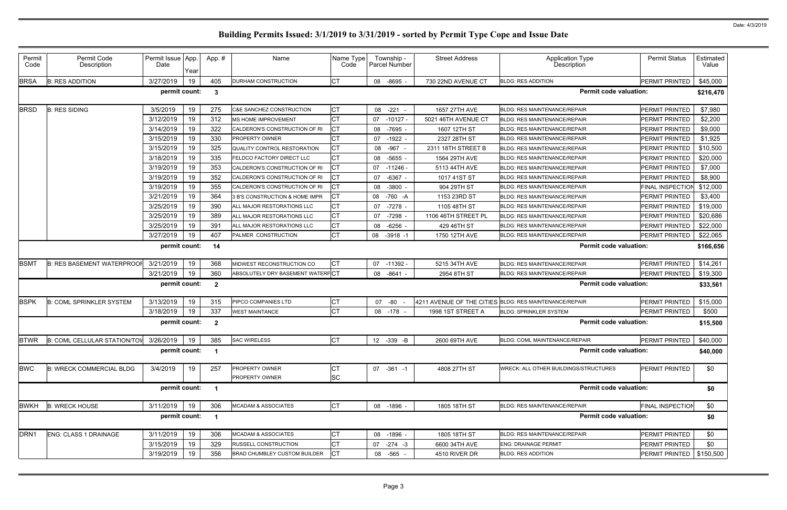| Permit<br>Code   | Permit Code<br>Description                  | Permit Issue App.<br>Date | Year | App.#          | Name                                | Name Type<br>Code | Township -<br><b>Parcel Number</b> | <b>Street Address</b> | <b>Application Type</b><br>Description                 | <b>Permit Status</b>       | Estimated<br>Value |
|------------------|---------------------------------------------|---------------------------|------|----------------|-------------------------------------|-------------------|------------------------------------|-----------------------|--------------------------------------------------------|----------------------------|--------------------|
| <b>BRSA</b>      | <b>B: RES ADDITION</b>                      | 3/27/2019                 | 19   | 405            | DURHAM CONSTRUCTION                 | <b>CT</b>         | 08 -8695                           | 730 22ND AVENUE CT    | <b>BLDG: RES ADDITION</b>                              | PERMIT PRINTED             | \$45,000           |
|                  |                                             | permit count:             |      | $\mathbf{3}$   |                                     |                   |                                    |                       | <b>Permit code valuation:</b>                          |                            | \$216,470          |
| <b>BRSD</b>      | <b>B: RES SIDING</b>                        | 3/5/2019                  | 19   | 275            | <b>C&amp;E SANCHEZ CONSTRUCTION</b> | IСТ               | 08 -221 -                          | 1657 27TH AVE         | BLDG: RES MAINTENANCE/REPAIR                           | PERMIT PRINTED             | \$7,980            |
|                  |                                             | 3/12/2019                 | 19   | 312            | <b>MS HOME IMPROVEMENT</b>          | lст               | 07<br>-10127 -                     | 5021 46TH AVENUE CT   | <b>BLDG: RES MAINTENANCE/REPAIR</b>                    | PERMIT PRINTED             | \$2,200            |
|                  |                                             | 3/14/2019                 | 19   | 322            | CALDERON'S CONSTRUCTION OF RI       | Iст               | 08 -7695                           | 1607 12TH ST          | <b>BLDG: RES MAINTENANCE/REPAIR</b>                    | PERMIT PRINTED             | \$9,000            |
|                  |                                             | 3/15/2019                 | 19   | 330            | <b>PROPERTY OWNER</b>               | lСТ               | -1922<br>07                        | 2327 28TH ST          | <b>BLDG: RES MAINTENANCE/REPAIR</b>                    | PERMIT PRINTED             | \$1,925            |
|                  |                                             | 3/15/2019                 | 19   | 325            | QUALITY CONTROL RESTORATION         | Iст               | -967 -<br>08                       | 2311 18TH STREET B    | <b>BLDG: RES MAINTENANCE/REPAIR</b>                    | PERMIT PRINTED             | \$10,500           |
|                  |                                             | 3/18/2019                 | 19   | 335            | <b>FELDCO FACTORY DIRECT LLC</b>    | Iст               | -5655<br>08                        | 1564 29TH AVE         | <b>BLDG: RES MAINTENANCE/REPAIR</b>                    | PERMIT PRINTED             | \$20,000           |
|                  |                                             | 3/19/2019                 | 19   | 353            | CALDERON'S CONSTRUCTION OF RI       | <b>ICT</b>        | $07 - 11246$                       | 5113 44TH AVE         | <b>BLDG: RES MAINTENANCE/REPAIR</b>                    | PERMIT PRINTED             | \$7,000            |
|                  |                                             | 3/19/2019                 | 19   | 352            | CALDERON'S CONSTRUCTION OF RI       | Iст               | -6367<br>07                        | 1017 41ST ST          | <b>BLDG: RES MAINTENANCE/REPAIR</b>                    | PERMIT PRINTED             | \$8,900            |
|                  |                                             | 3/19/2019                 | 19   | 355            | CALDERON'S CONSTRUCTION OF RI       | <b>ICT</b>        | $-3800$<br>08                      | 904 29TH ST           | <b>BLDG: RES MAINTENANCE/REPAIR</b>                    | <b>FINAL INSPECTION</b>    | \$12,000           |
|                  |                                             | 3/21/2019                 | 19   | 364            | 3 B'S CONSTRUCTION & HOME IMPR      | Iст               | 08<br>-760 -A                      | 1153 23RD ST          | <b>BLDG: RES MAINTENANCE/REPAIR</b>                    | PERMIT PRINTED             | \$3,400            |
|                  |                                             | 3/25/2019                 | 19   | 390            | ALL MAJOR RESTORATIONS LLC          | СT                | 07 - 7278 -                        | 1105 48TH ST          | <b>BLDG: RES MAINTENANCE/REPAIR</b>                    | PERMIT PRINTED             | \$19,000           |
|                  |                                             | 3/25/2019                 | 19   | 389            | ALL MAJOR RESTORATIONS LLC          | <b>CT</b>         | -7298<br>07                        | 1106 46TH STREET PL   | <b>BLDG: RES MAINTENANCE/REPAIR</b>                    | PERMIT PRINTED             | \$20,686           |
|                  |                                             | 3/25/2019                 | 19   | 391            | ALL MAJOR RESTORATIONS LLC          | <b>CT</b>         | -6256<br>08                        | 429 46TH ST           | <b>BLDG: RES MAINTENANCE/REPAIR</b>                    | PERMIT PRINTED             | \$22,000           |
|                  |                                             | 3/27/2019                 | 19   | 407            | PALMER CONSTRUCTION                 | Iст               | 08<br>$-3918 - 1$                  | 1750 12TH AVE         | <b>BLDG: RES MAINTENANCE/REPAIR</b>                    | PERMIT PRINTED             | \$22,065           |
|                  |                                             | permit count:             |      | 14             |                                     |                   |                                    |                       | <b>Permit code valuation:</b>                          |                            | \$166,656          |
| <b>BSMT</b>      | <b>B: RES BASEMENT WATERPROOF</b>           | 3/21/2019                 | 19   | 368            | MIDWEST RECONSTRUCTION CO           | СT                | 07 -11392 -                        | 5215 34TH AVE         | <b>BLDG: RES MAINTENANCE/REPAIR</b>                    | PERMIT PRINTED             | \$14,261           |
|                  |                                             | 3/21/2019                 | 19   | 360            | ABSOLUTELY DRY BASEMENT WATERPCT    |                   | 08<br>-8641 -                      | 2954 8TH ST           | <b>BLDG: RES MAINTENANCE/REPAIR</b>                    | PERMIT PRINTED             | \$19,300           |
|                  |                                             | permit count:             |      | $\overline{2}$ |                                     |                   |                                    |                       | <b>Permit code valuation:</b>                          |                            | \$33,561           |
| <b>BSPK</b>      | <b>B: COML SPRINKLER SYSTEM</b>             | 3/13/2019                 | 19   | 315            | PIPCO COMPANIES LTD                 | <b>CT</b>         | -80<br>07                          |                       | 4211 AVENUE OF THE CITIES BLDG: RES MAINTENANCE/REPAIR | PERMIT PRINTED             | \$15,000           |
|                  |                                             | 3/18/2019                 | 19   | 337            | <b>WEST MAINTANCE</b>               | <b>CT</b>         | 08 -178                            | 1998 1ST STREET A     | <b>BLDG: SPRINKLER SYSTEM</b>                          | <b>PERMIT PRINTED</b>      | \$500              |
|                  |                                             | permit count:             |      | $\mathbf{2}$   |                                     |                   |                                    |                       | <b>Permit code valuation:</b>                          |                            | \$15,500           |
|                  | BTWR B: COML CELLULAR STATION/TOV 3/26/2019 |                           | 19   | 385            | <b>SAC WIRELESS</b>                 | CT                | 12 -339 -B                         | 2600 69TH AVE         | BLDG: COML MAINTENANCE/REPAIR                          | PERMIT PRINTED             | \$40,000           |
|                  |                                             | permit count:             |      |                |                                     |                   |                                    |                       | <b>Permit code valuation:</b>                          |                            | \$40,000           |
| <b>BWC</b>       | <b>B: WRECK COMMERCIAL BLDG</b>             | 3/4/2019                  | 19   | 257            | PROPERTY OWNER                      | IСТ               | 07 -361 -1                         | 4808 27TH ST          | WRECK: ALL OTHER BUILDINGS/STRUCTURES                  | PERMIT PRINTED             | \$0                |
|                  |                                             |                           |      |                | PROPERTY OWNER                      | <b>SC</b>         |                                    |                       |                                                        |                            |                    |
| permit count:    |                                             |                           |      |                |                                     |                   |                                    |                       | <b>Permit code valuation:</b>                          |                            | \$0                |
| <b>BWKH</b>      | <b>B: WRECK HOUSE</b>                       | 3/11/2019                 | 19   | 306            | <b>MCADAM &amp; ASSOCIATES</b>      | <b>CT</b>         | 08 -1896 -                         | 1805 18TH ST          | BLDG: RES MAINTENANCE/REPAIR                           | FINAL INSPECTION           | \$0                |
|                  |                                             | permit count:             |      |                |                                     |                   |                                    |                       | <b>Permit code valuation:</b>                          |                            | \$0                |
| DRN <sub>1</sub> | ENG: CLASS 1 DRAINAGE                       | 3/11/2019                 | 19   | 306            | <b>MCADAM &amp; ASSOCIATES</b>      | IСТ               | 08 -1896 -                         | 1805 18TH ST          | <b>BLDG: RES MAINTENANCE/REPAIR</b>                    | PERMIT PRINTED             | \$0                |
|                  |                                             | 3/15/2019                 | 19   | 329            | <b>RUSSELL CONSTRUCTION</b>         | IСТ               | 07 -274 -3                         | 6600 34TH AVE         | <b>ENG: DRAINAGE PERMIT</b>                            | PERMIT PRINTED             | \$0                |
|                  |                                             | 3/19/2019                 | 19   | 356            | BRAD CHUMBLEY CUSTOM BUILDER        | <b>CT</b>         | 08 -565 -                          | 4510 RIVER DR         | <b>BLDG: RES ADDITION</b>                              | PERMIT PRINTED   \$150,500 |                    |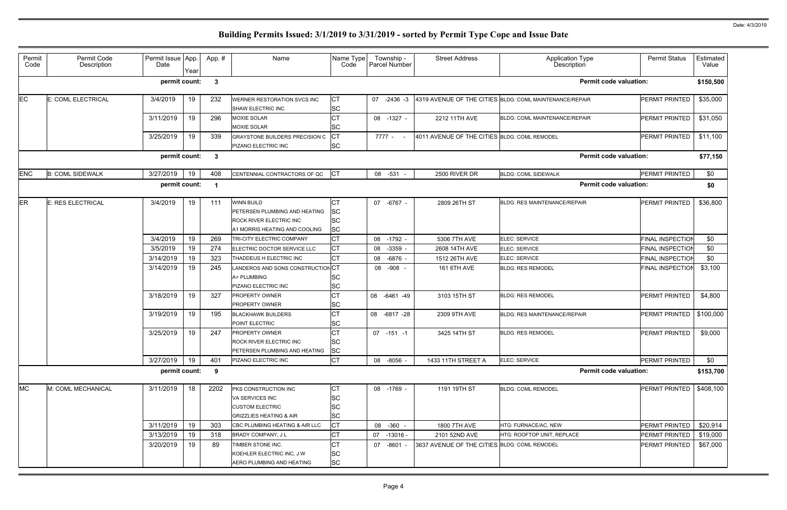| Permit<br>Code | Permit Code<br>Description | Permit Issue App.<br>Date | Year | App.#        | Name                                                                                                                         | Name Type<br>Code                                | Township -<br>Parcel Number | <b>Street Address</b>                        | <b>Application Type</b><br>Description                  | <b>Permit Status</b>    | Estimated<br>Value |
|----------------|----------------------------|---------------------------|------|--------------|------------------------------------------------------------------------------------------------------------------------------|--------------------------------------------------|-----------------------------|----------------------------------------------|---------------------------------------------------------|-------------------------|--------------------|
|                |                            | permit count:             |      | $\mathbf{3}$ |                                                                                                                              |                                                  |                             |                                              | <b>Permit code valuation:</b>                           |                         | \$150,500          |
| <b>EC</b>      | E: COML ELECTRICAL         | 3/4/2019                  | 19   | 232          | WERNER RESTORATION SVCS INC<br>SHAW ELECTRIC INC                                                                             | <b>CT</b><br><b>SC</b>                           | 07 -2436 -3                 |                                              | 4319 AVENUE OF THE CITIES BLDG: COML MAINTENANCE/REPAIR | PERMIT PRINTED          | \$35,000           |
|                |                            | 3/11/2019                 | 19   | 296          | <b>MOXIE SOLAR</b><br><b>MOXIE SOLAR</b>                                                                                     | <b>CT</b><br><b>SC</b>                           | 08 -1327 -                  | 2212 11TH AVE                                | <b>BLDG: COML MAINTENANCE/REPAIR</b>                    | PERMIT PRINTED          | \$31,050           |
|                |                            | 3/25/2019                 | 19   | 339          | GRAYSTONE BUILDERS PRECISION C<br>PIZANO ELECTRIC INC                                                                        | <b>ICT</b><br><b>SC</b>                          | 7777 - -                    | 4011 AVENUE OF THE CITIES BLDG: COML REMODEL |                                                         | <b>PERMIT PRINTED</b>   | \$11,100           |
|                |                            | permit count:             |      | $\mathbf{3}$ |                                                                                                                              |                                                  |                             |                                              | <b>Permit code valuation:</b>                           |                         | \$77,150           |
| <b>ENC</b>     | <b>B: COML SIDEWALK</b>    | 3/27/2019                 | 19   | 408          | CENTENNIAL CONTRACTORS OF QC                                                                                                 | <b>ICT</b>                                       | 08 -531                     | 2500 RIVER DR                                | <b>BLDG: COML SIDEWALK</b>                              | PERMIT PRINTED          | \$0                |
|                |                            | permit count:             |      | - 1          |                                                                                                                              |                                                  |                             |                                              | <b>Permit code valuation:</b>                           |                         | \$0                |
| <b>ER</b>      | E: RES ELECTRICAL          | 3/4/2019                  | 19   | 111          | <b>WINN BUILD</b><br><b>PETERSEN PLUMBING AND HEATING</b><br><b>ROCK RIVER ELECTRIC INC</b><br>A1 MORRIS HEATING AND COOLING | СT<br><b>SC</b><br><b>SC</b><br><b>SC</b>        | 07 -6767 -                  | 2809 26TH ST                                 | <b>BLDG: RES MAINTENANCE/REPAIR</b>                     | PERMIT PRINTED          | \$36,800           |
|                |                            | 3/4/2019                  | 19   | 269          | TRI-CITY ELECTRIC COMPANY                                                                                                    | <b>CT</b>                                        | 08<br>$-1792 -$             | 5306 7TH AVE                                 | ELEC: SERVICE                                           | <b>FINAL INSPECTION</b> | \$0                |
|                |                            | 3/5/2019                  | 19   | 274          | ELECTRIC DOCTOR SERVICE LLC                                                                                                  | <b>CT</b>                                        | $-3359 -$<br>08             | 2608 14TH AVE                                | ELEC: SERVICE                                           | FINAL INSPECTION        | \$0                |
|                |                            | 3/14/2019                 | 19   | 323          | THADDEUS H ELECTRIC INC                                                                                                      | <b>CT</b>                                        | $-6876$<br>08               | 1512 26TH AVE                                | ELEC: SERVICE                                           | <b>FINAL INSPECTION</b> | \$0                |
|                |                            | 3/14/2019                 | 19   | 245          | ANDEROS AND SONS CONSTRUCTION CT<br>A+ PLUMBING<br>PIZANO ELECTRIC INC                                                       | <b>SC</b><br><b>SC</b>                           | 08 -908 -                   | 161 6TH AVE                                  | <b>BLDG: RES REMODEL</b>                                | FINAL INSPECTION        | \$3,100            |
|                |                            | 3/18/2019                 | 19   | 327          | <b>PROPERTY OWNER</b><br><b>PROPERTY OWNER</b>                                                                               | <b>CT</b><br><b>SC</b>                           | 08 -6461 -49                | 3103 15TH ST                                 | <b>BLDG: RES REMODEL</b>                                | PERMIT PRINTED          | \$4,800            |
|                |                            | 3/19/2019                 | 19   | 195          | <b>BLACKHAWK BUILDERS</b><br>POINT ELECTRIC                                                                                  | <b>CT</b><br><b>SC</b>                           | 08 -6817 -28                | 2309 9TH AVE                                 | <b>BLDG: RES MAINTENANCE/REPAIR</b>                     | PERMIT PRINTED          | \$100,000          |
|                |                            | 3/25/2019                 | 19   | 247          | <b>PROPERTY OWNER</b><br>ROCK RIVER ELECTRIC INC<br><b>PETERSEN PLUMBING AND HEATING</b>                                     | <b>CT</b><br><b>SC</b><br><b>SC</b>              | $07 - 151 - 1$              | 3425 14TH ST                                 | <b>BLDG: RES REMODEL</b>                                | PERMIT PRINTED          | \$9,000            |
|                |                            | 3/27/2019                 | 19   | 401          | PIZANO ELECTRIC INC                                                                                                          | <b>CT</b>                                        | 08 -8056 -                  | 1433 11TH STREET A                           | ELEC: SERVICE                                           | PERMIT PRINTED          | \$0                |
|                |                            | permit count:             |      | - 9          |                                                                                                                              |                                                  |                             |                                              | <b>Permit code valuation:</b>                           |                         | \$153,700          |
| <b>MC</b>      | M: COML MECHANICAL         | 3/11/2019                 | 18   | 2202         | <b>PKS CONSTRUCTION INC</b><br>VA SERVICES INC<br><b>CUSTOM ELECTRIC</b><br><b>GRIZZLIES HEATING &amp; AIR</b>               | <b>CT</b><br><b>SC</b><br><b>SC</b><br><b>SC</b> | 08 -1769 -                  | 1191 19TH ST                                 | <b>BLDG: COML REMODEL</b>                               | PERMIT PRINTED          | \$408,100          |
|                |                            | 3/11/2019                 | 19   | 303          | CBC PLUMBING HEATING & AIR LLC                                                                                               | <b>CT</b>                                        | 08 -360 -                   | 1800 7TH AVE                                 | HTG: FURNACE/AC, NEW                                    | PERMIT PRINTED          | \$20,914           |
|                |                            | 3/13/2019                 | 19   | 318          | BRADY COMPANY, J L                                                                                                           | <b>CT</b>                                        | 07 -13016 -                 | 2101 52ND AVE                                | HTG: ROOFTOP UNIT, REPLACE                              | <b>PERMIT PRINTED</b>   | \$19,000           |
|                |                            | 3/20/2019                 | 19   | 89           | TIMBER STONE INC.<br>KOEHLER ELECTRIC INC, J W<br>AERO PLUMBING AND HEATING                                                  | <b>CT</b><br><b>SC</b><br><b>SC</b>              | 07 -8601 -                  | 3637 AVENUE OF THE CITIES BLDG: COML REMODEL |                                                         | PERMIT PRINTED          | \$67,000           |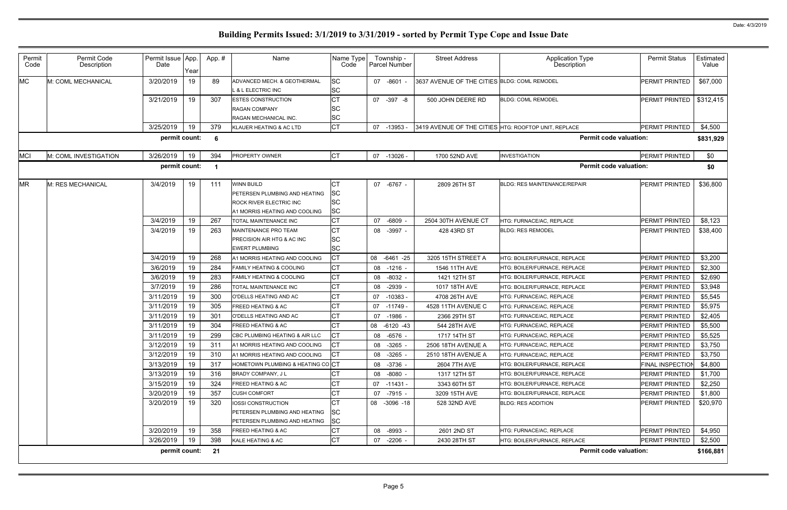| Permit<br>Code | Permit Code<br>Description | Permit Issue App.<br>Date | Year     | App. #     | Name                                                                                                           | Name Type<br>Code                          | Township -<br>Parcel Number       | <b>Street Address</b>                                | <b>Application Type</b><br>Description               | <b>Permit Status</b>             | Estimated<br>Value |
|----------------|----------------------------|---------------------------|----------|------------|----------------------------------------------------------------------------------------------------------------|--------------------------------------------|-----------------------------------|------------------------------------------------------|------------------------------------------------------|----------------------------------|--------------------|
| <b>MC</b>      | M: COML MECHANICAL         | 3/20/2019                 | 19       | 89         | ADVANCED MECH. & GEOTHERMAL<br><b>L &amp; L ELECTRIC INC</b>                                                   | <b>SC</b><br><b>SC</b>                     | 07 -8601 -                        | 3637 AVENUE OF THE CITIES BLDG: COML REMODEL         |                                                      | PERMIT PRINTED                   | \$67,000           |
|                |                            | 3/21/2019                 | 19       | 307        | <b>ESTES CONSTRUCTION</b><br><b>RAGAN COMPANY</b><br><b>RAGAN MECHANICAL INC.</b>                              | <b>CT</b><br>SC<br><b>SC</b>               | 07<br>$-397 - 8$                  | 500 JOHN DEERE RD                                    | <b>BLDG: COML REMODEL</b>                            | PERMIT PRINTED                   | \$312,415          |
|                |                            | 3/25/2019                 | 19       | 379        | KLAUER HEATING & AC LTD                                                                                        | <b>CT</b>                                  | $-13953 -$<br>07                  | 3419 AVENUE OF THE CITIES HTG: ROOFTOP UNIT, REPLACE |                                                      | PERMIT PRINTED                   | \$4,500            |
|                |                            | permit count:             |          | 6          |                                                                                                                |                                            |                                   |                                                      | <b>Permit code valuation:</b>                        |                                  | \$831,929          |
| <b>MCI</b>     | M: COML INVESTIGATION      | 3/26/2019                 | 19       | 394        | PROPERTY OWNER                                                                                                 | <b>CT</b>                                  | 07 -13026 -                       | 1700 52ND AVE                                        | <b>INVESTIGATION</b>                                 | PERMIT PRINTED                   | \$0                |
|                |                            | permit count:             |          |            |                                                                                                                |                                            |                                   |                                                      | <b>Permit code valuation:</b>                        |                                  | \$0                |
| <b>MR</b>      | M: RES MECHANICAL          | 3/4/2019                  | 19       | 111        | <b>WINN BUILD</b><br>PETERSEN PLUMBING AND HEATING<br>ROCK RIVER ELECTRIC INC<br>A1 MORRIS HEATING AND COOLING | IСТ<br><b>SC</b><br><b>SC</b><br><b>SC</b> | 07 -6767 -                        | 2809 26TH ST                                         | <b>BLDG: RES MAINTENANCE/REPAIR</b>                  | PERMIT PRINTED                   | \$36,800           |
|                |                            | 3/4/2019                  | 19       | 267        | <b>TOTAL MAINTENANCE INC</b>                                                                                   | <b>CT</b>                                  | $-6809$<br>07                     | 2504 30TH AVENUE CT                                  | HTG: FURNACE/AC, REPLACE                             | PERMIT PRINTED                   | \$8,123            |
|                |                            | 3/4/2019                  | 19       | 263        | MAINTENANCE PRO TEAM<br><b>PRECISION AIR HTG &amp; AC INC</b><br><b>EWERT PLUMBING</b>                         | Iст<br><b>SC</b><br><b>SC</b>              | 08 -3997 -                        | 428 43RD ST                                          | <b>BLDG: RES REMODEL</b>                             | PERMIT PRINTED                   | \$38,400           |
|                |                            | 3/4/2019                  | 19       | 268        | A1 MORRIS HEATING AND COOLING                                                                                  | <b>CT</b>                                  | 80<br>$-6461 -25$                 | 3205 15TH STREET A                                   | HTG: BOILER/FURNACE, REPLACE                         | PERMIT PRINTED                   | \$3,200            |
|                |                            | 3/6/2019                  | 19       | 284        | FAMILY HEATING & COOLING                                                                                       | <b>CT</b>                                  | $-1216 -$<br>08                   | 1546 11TH AVE                                        | HTG: BOILER/FURNACE, REPLACE                         | PERMIT PRINTED                   | \$2,300            |
|                |                            | 3/6/2019                  | 19       | 283        | <b>FAMILY HEATING &amp; COOLING</b>                                                                            | <b>CT</b>                                  | $-8032 -$<br>08                   | 1421 12TH ST                                         | HTG: BOILER/FURNACE, REPLACE                         | PERMIT PRINTED                   | \$2,690            |
|                |                            | 3/7/2019                  | 19       | 286        | TOTAL MAINTENANCE INC                                                                                          | <b>CT</b>                                  | $-2939$ -<br>08                   | 1017 18TH AVE                                        | HTG: BOILER/FURNACE, REPLACE                         | PERMIT PRINTED                   | \$3,948            |
|                |                            | 3/11/2019                 | 19       | 300        | O'DELLS HEATING AND AC                                                                                         | <b>CT</b>                                  | $-10383$<br>07                    | 4708 26TH AVE                                        | HTG: FURNACE/AC, REPLACE                             | PERMIT PRINTED                   | \$5,545            |
|                |                            | 3/11/2019<br>3/11/2019    | 19<br>19 | 305<br>301 | <b>FREED HEATING &amp; AC</b><br>O'DELLS HEATING AND AC                                                        | <b>CT</b><br><b>CT</b>                     | $-11749$<br>07<br>07<br>$-1986$ - | 4528 11TH AVENUE C<br>2366 29TH ST                   | HTG: FURNACE/AC, REPLACE<br>HTG: FURNACE/AC, REPLACE | PERMIT PRINTED<br>PERMIT PRINTED | \$5,975<br>\$2,405 |
|                |                            | 3/11/2019                 | 19       | 304        | <b>FREED HEATING &amp; AC</b>                                                                                  | <b>CT</b>                                  | 80<br>$-6120 - 43$                | 544 28TH AVE                                         | ITG: FURNACE/AC, REPLACE                             | PERMIT PRINTED                   | \$5,500            |
|                |                            | 3/11/2019                 | 19       | 299        | CBC PLUMBING HEATING & AIR LLC                                                                                 | IСТ                                        | -6576 -<br>08                     | 1717 14TH ST                                         | HTG: FURNACE/AC, REPLACE                             | PERMIT PRINTED                   | \$5,525            |
|                |                            | 3/12/2019                 | 19       | 311        | A1 MORRIS HEATING AND COOLING                                                                                  | <b>ICT</b>                                 | 08 -3265 -                        | 2506 18TH AVENUE A                                   | HTG: FURNACE/AC, REPLACE                             | PERMIT PRINTED                   | \$3,750            |
|                |                            | 3/12/2019                 | 19       | 310        | A1 MORRIS HEATING AND COOLING                                                                                  | <b>ICT</b>                                 | 08 -3265 -                        | 2510 18TH AVENUE A                                   | HTG: FURNACE/AC. REPLACE                             | PERMIT PRINTED                   | \$3,750            |
|                |                            | 3/13/2019                 | 19       | 317        | HOMETOWN PLUMBING & HEATING COCT                                                                               |                                            | 08 -3736 -                        | 2604 7TH AVE                                         | HTG: BOILER/FURNACE, REPLACE                         | FINAL INSPECTION                 | \$4,800            |
|                |                            | 3/13/2019                 | 19       | 316        | <b>BRADY COMPANY, JL</b>                                                                                       | <b>CT</b>                                  | $-8080 -$<br>08                   | 1317 12TH ST                                         | HTG: BOILER/FURNACE, REPLACE                         | PERMIT PRINTED                   | \$1,700            |
|                |                            | 3/15/2019                 | 19       | 324        | <b>FREED HEATING &amp; AC</b>                                                                                  | <b>CT</b>                                  | 07 -11431 -                       | 3343 60TH ST                                         | HTG: BOILER/FURNACE, REPLACE                         | PERMIT PRINTED                   | \$2,250            |
|                |                            | 3/20/2019                 | 19       | 357        | <b>CUSH COMFORT</b>                                                                                            | <b>CT</b>                                  | 07 -7915 -                        | 3209 15TH AVE                                        | HTG: BOILER/FURNACE, REPLACE                         | PERMIT PRINTED                   | \$1,800            |
|                |                            | 3/20/2019                 | 19       | 320        | <b>IOSSI CONSTRUCTION</b><br><b>PETERSEN PLUMBING AND HEATING</b><br>PETERSEN PLUMBING AND HEATING             | <b>CT</b><br><b>SC</b><br><b>SC</b>        | 08 -3096 -18                      | 528 32ND AVE                                         | <b>BLDG: RES ADDITION</b>                            | PERMIT PRINTED                   | \$20,970           |
|                |                            | 3/20/2019                 | 19       | 358        | <b>FREED HEATING &amp; AC</b>                                                                                  | IСТ                                        | 08 -8993 -                        | 2601 2ND ST                                          | HTG: FURNACE/AC, REPLACE                             | PERMIT PRINTED                   | \$4,950            |
|                |                            | 3/26/2019                 | 19       | 398        | KALE HEATING & AC                                                                                              | <b>CT</b>                                  | 07 -2206 -                        | 2430 28TH ST                                         | HTG: BOILER/FURNACE, REPLACE                         | PERMIT PRINTED                   | \$2,500            |
|                |                            | permit count:             |          | 21         |                                                                                                                |                                            |                                   |                                                      | <b>Permit code valuation:</b>                        |                                  | \$166,881          |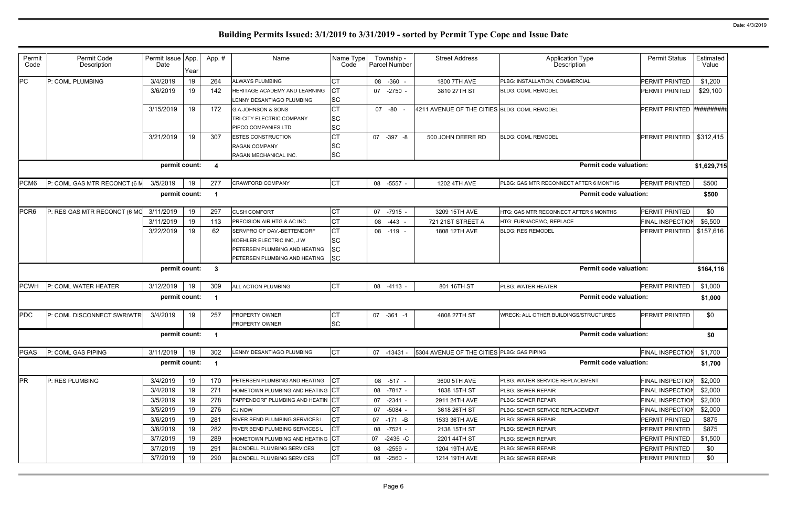| Permit<br>Code   | Permit Code<br>Description   | Permit Issue App.<br>Date | Year | App.#        | Name                                                                                                                      | Name Type<br>Code                    | Township -<br><b>Parcel Number</b> | <b>Street Address</b>                        | <b>Application Type</b><br>Description | <b>Permit Status</b>    | Estimated<br>Value |
|------------------|------------------------------|---------------------------|------|--------------|---------------------------------------------------------------------------------------------------------------------------|--------------------------------------|------------------------------------|----------------------------------------------|----------------------------------------|-------------------------|--------------------|
| PС               | P: COML PLUMBING             | 3/4/2019                  | 19   | 264          | <b>ALWAYS PLUMBING</b>                                                                                                    | <b>CT</b>                            | 08 -360 -                          | 1800 7TH AVE                                 | PLBG: INSTALLATION, COMMERCIAL         | <b>PERMIT PRINTED</b>   | \$1,200            |
|                  |                              | 3/6/2019                  | 19   | 142          | HERITAGE ACADEMY AND LEARNING<br>LENNY DESANTIAGO PLUMBING                                                                | <b>ICT</b><br><b>SC</b>              | 07 -2750 -                         | 3810 27TH ST                                 | <b>BLDG: COML REMODEL</b>              | PERMIT PRINTED          | \$29,100           |
|                  |                              | 3/15/2019                 | 19   | 172          | <b>G.A.JOHNSON &amp; SONS</b><br><b>TRI-CITY ELECTRIC COMPANY</b><br><b>PIPCO COMPANIES LTD</b>                           | СT<br><b>SC</b><br><b>SC</b>         | 07 -80 -                           | 4211 AVENUE OF THE CITIES BLDG: COML REMODEL |                                        | PERMIT PRINTED          | ##########         |
|                  |                              | 3/21/2019                 | 19   | 307          | <b>ESTES CONSTRUCTION</b><br><b>RAGAN COMPANY</b><br>RAGAN MECHANICAL INC.                                                | <b>CT</b><br><b>SC</b><br><b>SC</b>  | 07<br>$-397 - 8$                   | 500 JOHN DEERE RD                            | <b>BLDG: COML REMODEL</b>              | PERMIT PRINTED          | \$312,415          |
|                  |                              | permit count:             |      | -4           |                                                                                                                           |                                      |                                    |                                              | <b>Permit code valuation:</b>          |                         | \$1,629,715        |
| PCM6             | P: COML GAS MTR RECONCT (6 M | 3/5/2019                  | 19   | 277          | <b>CRAWFORD COMPANY</b>                                                                                                   | <b>CT</b>                            | 08 -5557 -                         | 1202 4TH AVE                                 | PLBG: GAS MTR RECONNECT AFTER 6 MONTHS | <b>PERMIT PRINTED</b>   | \$500              |
|                  |                              | permit count:             |      | - 1          |                                                                                                                           |                                      |                                    |                                              | <b>Permit code valuation:</b>          |                         | \$500              |
| PCR <sub>6</sub> | P: RES GAS MTR RECONCT (6 MO | 3/11/2019                 | 19   | 297          | <b>CUSH COMFORT</b>                                                                                                       | CT                                   | 07 -7915 -                         | 3209 15TH AVE                                | HTG: GAS MTR RECONNECT AFTER 6 MONTHS  | PERMIT PRINTED          | \$0                |
|                  |                              | 3/11/2019                 | 19   | 113          | <b>PRECISION AIR HTG &amp; AC INC</b>                                                                                     | <b>CT</b>                            | 08 -443 -                          | 721 21ST STREET A                            | HTG: FURNACE/AC, REPLACE               | FINAL INSPECTION        | \$6,500            |
|                  |                              | 3/22/2019                 | 19   | 62           | SERVPRO OF DAV.-BETTENDORF<br>KOEHLER ELECTRIC INC, J W<br>PETERSEN PLUMBING AND HEATING<br>PETERSEN PLUMBING AND HEATING | <b>CT</b><br>lSС<br>lSС<br><b>SC</b> | 08 -119 -                          | 1808 12TH AVE                                | <b>BLDG: RES REMODEL</b>               | PERMIT PRINTED          | \$157,616          |
|                  |                              | permit count:             |      | $\mathbf{3}$ |                                                                                                                           |                                      |                                    |                                              | <b>Permit code valuation:</b>          |                         | \$164,116          |
| <b>PCWH</b>      | P: COML WATER HEATER         | 3/12/2019                 | 19   | 309          | ALL ACTION PLUMBING                                                                                                       | <b>CT</b>                            | 08 -4113 -                         | 801 16TH ST                                  | PLBG: WATER HEATER                     | <b>PERMIT PRINTED</b>   | \$1,000            |
|                  |                              | permit count:             |      |              |                                                                                                                           |                                      |                                    |                                              | <b>Permit code valuation:</b>          |                         | \$1,000            |
| <b>PDC</b>       | P: COML DISCONNECT SWR/WTR   | 3/4/2019                  | 19   | 257          | <b>PROPERTY OWNER</b><br>PROPERTY OWNER                                                                                   | СT<br><b>SC</b>                      | 07 -361 -1                         | 4808 27TH ST                                 | WRECK: ALL OTHER BUILDINGS/STRUCTURES  | <b>PERMIT PRINTED</b>   | \$0                |
|                  |                              | permit count:             |      | - 1          |                                                                                                                           |                                      |                                    |                                              | <b>Permit code valuation:</b>          |                         | \$0                |
| PGAS             | P: COML GAS PIPING           | 3/11/2019                 | 19   | 302          | LENNY DESANTIAGO PLUMBING                                                                                                 | СT                                   | 07 -13431 -                        | 5304 AVENUE OF THE CITIES PLBG: GAS PIPING   |                                        | FINAL INSPECTION        | \$1,700            |
|                  |                              | permit count:             |      | - 1          |                                                                                                                           |                                      |                                    |                                              | <b>Permit code valuation:</b>          |                         | \$1,700            |
| <b>PR</b>        | P: RES PLUMBING              | 3/4/2019                  | 19   | 170          | PETERSEN PLUMBING AND HEATING                                                                                             | IСT                                  | 08 -517 -                          | 3600 5TH AVE                                 | PLBG: WATER SERVICE REPLACEMENT        | <b>FINAL INSPECTION</b> | \$2,000            |
|                  |                              | 3/4/2019                  | 19   | 271          | HOMETOWN PLUMBING AND HEATING CT                                                                                          |                                      | 08 -7817 -                         | 1838 15TH ST                                 | PLBG: SEWER REPAIR                     | FINAL INSPECTION        | \$2,000            |
|                  |                              | 3/5/2019                  | 19   | 278          | TAPPENDORF PLUMBING AND HEATIN CT                                                                                         |                                      | 07 -2341 -                         | 2911 24TH AVE                                | PLBG: SEWER REPAIR                     | FINAL INSPECTION        | \$2,000            |
|                  |                              | 3/5/2019                  | 19   | 276          | <b>CJ NOW</b>                                                                                                             | СT                                   | $-5084 -$<br>07                    | 3618 26TH ST                                 | PLBG: SEWER SERVICE REPLACEMENT        | FINAL INSPECTION        | \$2,000            |
|                  |                              | 3/6/2019                  | 19   | 281          | RIVER BEND PLUMBING SERVICES L                                                                                            |                                      | 07 -171 -B                         | 1533 36TH AVE                                | PLBG: SEWER REPAIR                     | PERMIT PRINTED          | \$875              |
|                  |                              | 3/6/2019                  | 19   | 282          | <b>RIVER BEND PLUMBING SERVICES L</b>                                                                                     |                                      | -7521 -<br>08                      | 2138 15TH ST                                 | PLBG: SEWER REPAIR                     | PERMIT PRINTED          | \$875              |
|                  |                              | 3/7/2019                  | 19   | 289          | HOMETOWN PLUMBING AND HEATING CT                                                                                          |                                      | 07<br>-2436 -C                     | 2201 44TH ST                                 | PLBG: SEWER REPAIR                     | <b>PERMIT PRINTED</b>   | \$1,500            |
|                  |                              | 3/7/2019                  | 19   | 291          | <b>BLONDELL PLUMBING SERVICES</b>                                                                                         | <b>CT</b>                            | 08<br>$-2559 -$                    | 1204 19TH AVE                                | PLBG: SEWER REPAIR                     | PERMIT PRINTED          | \$0                |
|                  |                              | 3/7/2019                  | 19   | 290          | <b>BLONDELL PLUMBING SERVICES</b>                                                                                         | <b>CT</b>                            | $-2560 -$<br>08                    | 1214 19TH AVE                                | PLBG: SEWER REPAIR                     | PERMIT PRINTED          | \$0                |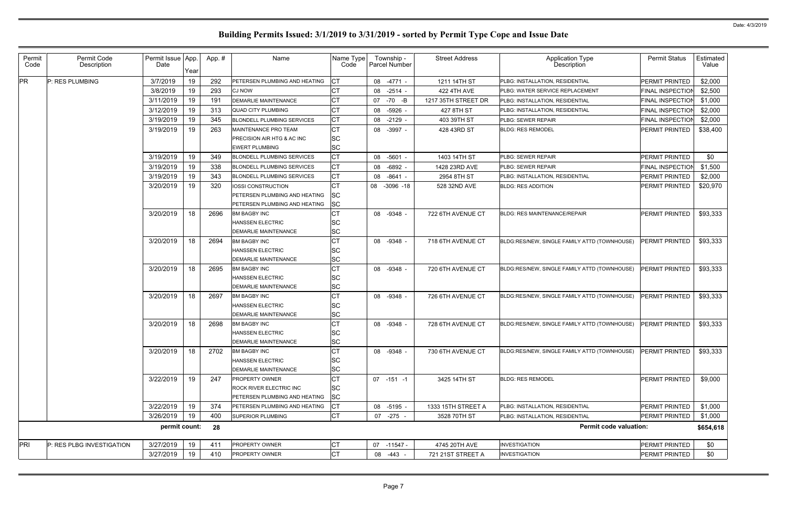| Permit<br>Code | Permit Code<br>Description | Permit Issue App.<br>Date | Year | App.# | Name                                                           | Name Type<br>Code      | Township -<br><b>Parcel Number</b> | <b>Street Address</b> | <b>Application Type</b><br>Description       | <b>Permit Status</b>    | Estimated<br>Value |
|----------------|----------------------------|---------------------------|------|-------|----------------------------------------------------------------|------------------------|------------------------------------|-----------------------|----------------------------------------------|-------------------------|--------------------|
| <b>PR</b>      | P: RES PLUMBING            | 3/7/2019                  | 19   | 292   | PETERSEN PLUMBING AND HEATING                                  | Iст                    | 08 -4771 -                         | 1211 14TH ST          | PLBG: INSTALLATION, RESIDENTIAL              | PERMIT PRINTED          | \$2,000            |
|                |                            | 3/8/2019                  | 19   | 293   | <b>CJ NOW</b>                                                  | <b>CT</b>              | 08 -2514 -                         | <b>422 4TH AVE</b>    | PLBG: WATER SERVICE REPLACEMENT              | <b>FINAL INSPECTION</b> | \$2,500            |
|                |                            | 3/11/2019                 | 19   | 191   | DEMARLIE MAINTENANCE                                           | <b>CT</b>              | 07 -70 -B                          | 1217 35TH STREET DR   | PLBG: INSTALLATION, RESIDENTIAL              | FINAL INSPECTION        | \$1,000            |
|                |                            | 3/12/2019                 | 19   | 313   | <b>QUAD CITY PLUMBING</b>                                      | <b>CT</b>              | 08 -5926 -                         | 427 8TH ST            | PLBG: INSTALLATION, RESIDENTIAL              | FINAL INSPECTION        | \$2,000            |
|                |                            | 3/19/2019                 | 19   | 345   | <b>BLONDELL PLUMBING SERVICES</b>                              | <b>CT</b>              | 08<br>$-2129$ -                    | 403 39TH ST           | PLBG: SEWER REPAIR                           | FINAL INSPECTION        | \$2,000            |
|                |                            | 3/19/2019                 | 19   | 263   | MAINTENANCE PRO TEAM                                           | <b>CT</b>              | 08 -3997 -                         | 428 43RD ST           | <b>BLDG: RES REMODEL</b>                     | PERMIT PRINTED          | \$38,400           |
|                |                            |                           |      |       | <b>PRECISION AIR HTG &amp; AC INC</b>                          | <b>SC</b>              |                                    |                       |                                              |                         |                    |
|                |                            |                           |      |       | <b>EWERT PLUMBING</b>                                          | <b>SC</b>              |                                    |                       |                                              |                         |                    |
|                |                            | 3/19/2019                 | 19   | 349   | <b>BLONDELL PLUMBING SERVICES</b>                              | Iст                    | 08 -5601 -                         | 1403 14TH ST          | PLBG: SEWER REPAIR                           | <b>PERMIT PRINTED</b>   | \$0                |
|                |                            | 3/19/2019                 | 19   | 338   | <b>BLONDELL PLUMBING SERVICES</b>                              | <b>CT</b>              | $-6892 -$<br>08                    | 1428 23RD AVE         | PLBG: SEWER REPAIR                           | FINAL INSPECTION        | \$1,500            |
|                |                            | 3/19/2019                 | 19   | 343   | <b>BLONDELL PLUMBING SERVICES</b>                              | <b>CT</b>              | $-8641 -$<br>08                    | 2954 8TH ST           | PLBG: INSTALLATION, RESIDENTIAL              | PERMIT PRINTED          | \$2,000            |
|                |                            | 3/20/2019                 | 19   | 320   | <b>IOSSI CONSTRUCTION</b>                                      | СT                     | 08 -3096 -18                       | 528 32ND AVE          | <b>BLDG: RES ADDITION</b>                    | PERMIT PRINTED          | \$20,970           |
|                |                            |                           |      |       | <b>PETERSEN PLUMBING AND HEATING</b>                           | <b>SC</b>              |                                    |                       |                                              |                         |                    |
|                |                            |                           |      |       | PETERSEN PLUMBING AND HEATING                                  | <b>SC</b>              |                                    |                       |                                              |                         |                    |
|                |                            | 3/20/2019                 | 18   | 2696  | <b>BM BAGBY INC</b>                                            | <b>CT</b>              | 08 -9348 -                         | 722 6TH AVENUE CT     | <b>BLDG: RES MAINTENANCE/REPAIR</b>          | PERMIT PRINTED          | \$93,333           |
|                |                            |                           |      |       | <b>HANSSEN ELECTRIC</b><br><b>DEMARLIE MAINTENANCE</b>         | <b>SC</b><br><b>SC</b> |                                    |                       |                                              |                         |                    |
|                |                            | 3/20/2019                 | 18   | 2694  | <b>BM BAGBY INC</b>                                            | <b>CT</b>              | 08 -9348 -                         | 718 6TH AVENUE CT     | BLDG:RES/NEW, SINGLE FAMILY ATTD (TOWNHOUSE) | PERMIT PRINTED          | \$93,333           |
|                |                            |                           |      |       | <b>HANSSEN ELECTRIC</b>                                        | <b>SC</b>              |                                    |                       |                                              |                         |                    |
|                |                            |                           |      |       | DEMARLIE MAINTENANCE                                           | <b>SC</b>              |                                    |                       |                                              |                         |                    |
|                |                            | 3/20/2019                 | 18   | 2695  | <b>BM BAGBY INC</b>                                            | Iст                    | 08 -9348 -                         | 720 6TH AVENUE CT     | BLDG:RES/NEW, SINGLE FAMILY ATTD (TOWNHOUSE) | PERMIT PRINTED          | \$93,333           |
|                |                            |                           |      |       | <b>HANSSEN ELECTRIC</b>                                        | <b>SC</b>              |                                    |                       |                                              |                         |                    |
|                |                            |                           |      |       | <b>DEMARLIE MAINTENANCE</b>                                    | <b>SC</b>              |                                    |                       |                                              |                         |                    |
|                |                            | 3/20/2019                 | 18   | 2697  | <b>BM BAGBY INC</b>                                            | <b>CT</b>              | 08 -9348 -                         | 726 6TH AVENUE CT     | BLDG:RES/NEW, SINGLE FAMILY ATTD (TOWNHOUSE) | <b>PERMIT PRINTED</b>   | \$93,333           |
|                |                            |                           |      |       | <b>HANSSEN ELECTRIC</b>                                        | <b>SC</b>              |                                    |                       |                                              |                         |                    |
|                |                            |                           |      |       | <b>DEMARLIE MAINTENANCE</b>                                    | <b>SC</b>              |                                    |                       |                                              |                         |                    |
|                |                            | 3/20/2019                 | 18   | 2698  | <b>BM BAGBY INC</b>                                            | <b>CT</b>              | 08 -9348 -                         | 728 6TH AVENUE CT     | BLDG:RES/NEW, SINGLE FAMILY ATTD (TOWNHOUSE) | <b>PERMIT PRINTED</b>   | \$93,333           |
|                |                            |                           |      |       | <b>HANSSEN ELECTRIC</b>                                        | <b>SC</b>              |                                    |                       |                                              |                         |                    |
|                |                            |                           |      |       | <b>DEMARLIE MAINTENANCE</b>                                    | <b>SC</b>              |                                    |                       |                                              |                         |                    |
|                |                            | 3/20/2019                 | 18   | 2702  | <b>BM BAGBY INC</b>                                            | <b>CT</b>              | 08 -9348 -                         | 730 6TH AVENUE CT     | BLDG:RES/NEW, SINGLE FAMILY ATTD (TOWNHOUSE) | PERMIT PRINTED          | \$93,333           |
|                |                            |                           |      |       | <b>HANSSEN ELECTRIC</b>                                        | <b>SC</b>              |                                    |                       |                                              |                         |                    |
|                |                            |                           |      |       | <b>DEMARLIE MAINTENANCE</b>                                    | <b>SC</b>              |                                    |                       |                                              |                         |                    |
|                |                            | 3/22/2019                 | 19   | 247   | <b>PROPERTY OWNER</b>                                          | <b>CT</b>              | $07 - 151 - 1$                     | 3425 14TH ST          | <b>BLDG: RES REMODEL</b>                     | PERMIT PRINTED          | \$9,000            |
|                |                            |                           |      |       | <b>ROCK RIVER ELECTRIC INC</b>                                 | <b>SC</b>              |                                    |                       |                                              |                         |                    |
|                |                            | 3/22/2019                 | 19   | 374   | PETERSEN PLUMBING AND HEATING<br>PETERSEN PLUMBING AND HEATING | <b>SC</b><br>Iст       | 08 -5195 -                         | 1333 15TH STREET A    | PLBG: INSTALLATION, RESIDENTIAL              | PERMIT PRINTED          | \$1,000            |
|                |                            | 3/26/2019                 | 19   | 400   | <b>SUPERIOR PLUMBING</b>                                       | Iст                    | 07 -275 -                          | 3528 70TH ST          | PLBG: INSTALLATION, RESIDENTIAL              | <b>PERMIT PRINTED</b>   | \$1,000            |
|                |                            |                           |      |       |                                                                |                        |                                    |                       |                                              |                         |                    |
|                |                            | permit count:             |      | 28    |                                                                |                        |                                    |                       | <b>Permit code valuation:</b>                |                         | \$654,618          |
| PRI            | P: RES PLBG INVESTIGATION  | 3/27/2019                 | 19   | 411   | PROPERTY OWNER                                                 | <b>CT</b>              | 07 -11547 -                        | 4745 20TH AVE         | <b>INVESTIGATION</b>                         | PERMIT PRINTED          | \$0                |
|                |                            | 3/27/2019                 | 19   | 410   | PROPERTY OWNER                                                 | <b>CT</b>              | 08 -443 -                          | 721 21ST STREET A     | <b>INVESTIGATION</b>                         | PERMIT PRINTED          | \$0                |